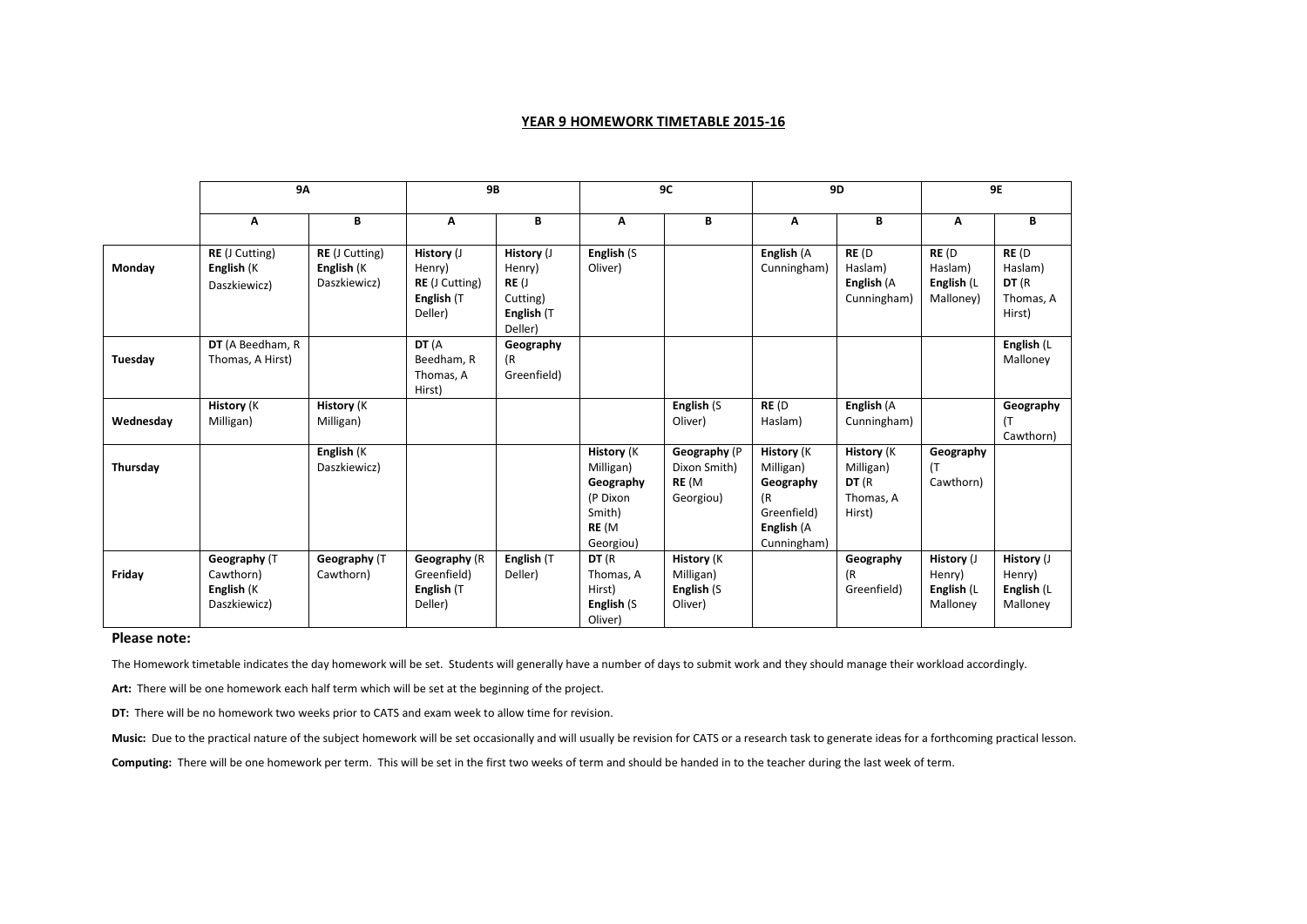## **YEAR 9 HOMEWORK TIMETABLE 2015-16**

|           | <b>9A</b>                                               |                                                     | <b>9B</b>                                                              |                                                                   | 9C                                                                                       |                                                         | <b>9D</b>                                                                                     |                                                                 | <b>9E</b>                                      |                                                  |
|-----------|---------------------------------------------------------|-----------------------------------------------------|------------------------------------------------------------------------|-------------------------------------------------------------------|------------------------------------------------------------------------------------------|---------------------------------------------------------|-----------------------------------------------------------------------------------------------|-----------------------------------------------------------------|------------------------------------------------|--------------------------------------------------|
|           | Α                                                       | В                                                   | Α                                                                      | B                                                                 | Α                                                                                        | B                                                       | Α                                                                                             | В                                                               | Α                                              | В                                                |
| Monday    | <b>RE</b> (J Cutting)<br>English (K<br>Daszkiewicz)     | <b>RE</b> (J Cutting)<br>English (K<br>Daszkiewicz) | History (J<br>Henry)<br><b>RE</b> (J Cutting)<br>English (T<br>Deller) | History (J<br>Henry)<br>RE(J<br>Cutting)<br>English (T<br>Deller) | English (S<br>Oliver)                                                                    |                                                         | English (A<br>Cunningham)                                                                     | RE(D)<br>Haslam)<br>English (A<br>Cunningham)                   | RE (D<br>Haslam)<br>English (L<br>Malloney)    | RE (D<br>Haslam)<br>DT (R<br>Thomas, A<br>Hirst) |
| Tuesday   | DT (A Beedham, R<br>Thomas, A Hirst)                    |                                                     | DT (A<br>Beedham, R<br>Thomas, A<br>Hirst)                             | Geography<br>(R<br>Greenfield)                                    |                                                                                          |                                                         |                                                                                               |                                                                 |                                                | English (L<br>Malloney                           |
| Wednesday | <b>History (K</b><br>Milligan)                          | History (K<br>Milligan)                             |                                                                        |                                                                   |                                                                                          | English (S<br>Oliver)                                   | RE(D)<br>Haslam)                                                                              | English (A<br>Cunningham)                                       |                                                | Geography<br>Cawthorn)                           |
| Thursday  |                                                         | English (K<br>Daszkiewicz)                          |                                                                        |                                                                   | <b>History</b> (K)<br>Milligan)<br>Geography<br>(P Dixon<br>Smith)<br>RE (M<br>Georgiou) | Geography (P<br>Dixon Smith)<br>RE (M<br>Georgiou)      | <b>History</b> (K<br>Milligan)<br>Geography<br>(R<br>Greenfield)<br>English (A<br>Cunningham) | <b>History</b> (K)<br>Milligan)<br>DT (R<br>Thomas, A<br>Hirst) | Geography<br>(T<br>Cawthorn)                   |                                                  |
| Friday    | Geography (T<br>Cawthorn)<br>English (K<br>Daszkiewicz) | Geography (T<br>Cawthorn)                           | Geography (R<br>Greenfield)<br>English (T<br>Deller)                   | English (T<br>Deller)                                             | DT (R<br>Thomas, A<br>Hirst)<br>English (S<br>Oliver)                                    | <b>History</b> (K<br>Milligan)<br>English (S<br>Oliver) |                                                                                               | Geography<br>(R<br>Greenfield)                                  | History (J<br>Henry)<br>English (L<br>Malloney | History (J<br>Henry)<br>English (L<br>Malloney   |

## **Please note:**

The Homework timetable indicates the day homework will be set. Students will generally have a number of days to submit work and they should manage their workload accordingly.

**Art:** There will be one homework each half term which will be set at the beginning of the project.

**DT:** There will be no homework two weeks prior to CATS and exam week to allow time for revision.

**Music:** Due to the practical nature of the subject homework will be set occasionally and will usually be revision for CATS or a research task to generate ideas for a forthcoming practical lesson.

**Computing:** There will be one homework per term. This will be set in the first two weeks of term and should be handed in to the teacher during the last week of term.